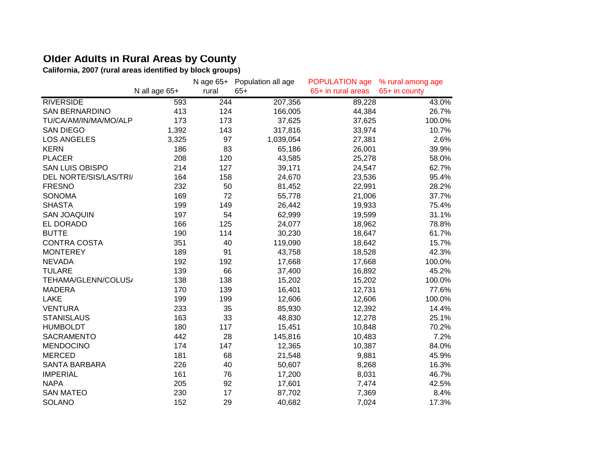## **Older Adults in Rural Areas by County**

**California, 2007 (rural areas identified by block groups)**

|                        |               | N age 65+ | Population all age | POPULATION age     | % rural among age |
|------------------------|---------------|-----------|--------------------|--------------------|-------------------|
|                        | N all age 65+ | rural     | $65+$              | 65+ in rural areas | 65+ in county     |
| <b>RIVERSIDE</b>       | 593           | 244       | 207,356            | 89,228             | 43.0%             |
| <b>SAN BERNARDINO</b>  | 413           | 124       | 166,005            | 44,384             | 26.7%             |
| TU/CA/AM/IN/MA/MO/ALP  | 173           | 173       | 37,625             | 37,625             | 100.0%            |
| <b>SAN DIEGO</b>       | 1,392         | 143       | 317,816            | 33,974             | 10.7%             |
| <b>LOS ANGELES</b>     | 3,325         | 97        | 1,039,054          | 27,381             | 2.6%              |
| <b>KERN</b>            | 186           | 83        | 65,186             | 26,001             | 39.9%             |
| <b>PLACER</b>          | 208           | 120       | 43,585             | 25,278             | 58.0%             |
| <b>SAN LUIS OBISPO</b> | 214           | 127       | 39,171             | 24,547             | 62.7%             |
| DEL NORTE/SIS/LAS/TRI/ | 164           | 158       | 24,670             | 23,536             | 95.4%             |
| <b>FRESNO</b>          | 232           | 50        | 81,452             | 22,991             | 28.2%             |
| <b>SONOMA</b>          | 169           | 72        | 55,778             | 21,006             | 37.7%             |
| <b>SHASTA</b>          | 199           | 149       | 26,442             | 19,933             | 75.4%             |
| <b>SAN JOAQUIN</b>     | 197           | 54        | 62,999             | 19,599             | 31.1%             |
| EL DORADO              | 166           | 125       | 24,077             | 18,962             | 78.8%             |
| <b>BUTTE</b>           | 190           | 114       | 30,230             | 18,647             | 61.7%             |
| <b>CONTRA COSTA</b>    | 351           | 40        | 119,090            | 18,642             | 15.7%             |
| <b>MONTEREY</b>        | 189           | 91        | 43,758             | 18,528             | 42.3%             |
| <b>NEVADA</b>          | 192           | 192       | 17,668             | 17,668             | 100.0%            |
| <b>TULARE</b>          | 139           | 66        | 37,400             | 16,892             | 45.2%             |
| TEHAMA/GLENN/COLUS/    | 138           | 138       | 15,202             | 15,202             | 100.0%            |
| <b>MADERA</b>          | 170           | 139       | 16,401             | 12,731             | 77.6%             |
| <b>LAKE</b>            | 199           | 199       | 12,606             | 12,606             | 100.0%            |
| <b>VENTURA</b>         | 233           | 35        | 85,930             | 12,392             | 14.4%             |
| <b>STANISLAUS</b>      | 163           | 33        | 48,830             | 12,278             | 25.1%             |
| <b>HUMBOLDT</b>        | 180           | 117       | 15,451             | 10,848             | 70.2%             |
| SACRAMENTO             | 442           | 28        | 145,816            | 10,483             | 7.2%              |
| <b>MENDOCINO</b>       | 174           | 147       | 12,365             | 10,387             | 84.0%             |
| <b>MERCED</b>          | 181           | 68        | 21,548             | 9,881              | 45.9%             |
| <b>SANTA BARBARA</b>   | 226           | 40        | 50,607             | 8,268              | 16.3%             |
| <b>IMPERIAL</b>        | 161           | 76        | 17,200             | 8,031              | 46.7%             |
| <b>NAPA</b>            | 205           | 92        | 17,601             | 7,474              | 42.5%             |
| <b>SAN MATEO</b>       | 230           | 17        | 87,702             | 7,369              | 8.4%              |
| <b>SOLANO</b>          | 152           | 29        | 40,682             | 7,024              | 17.3%             |